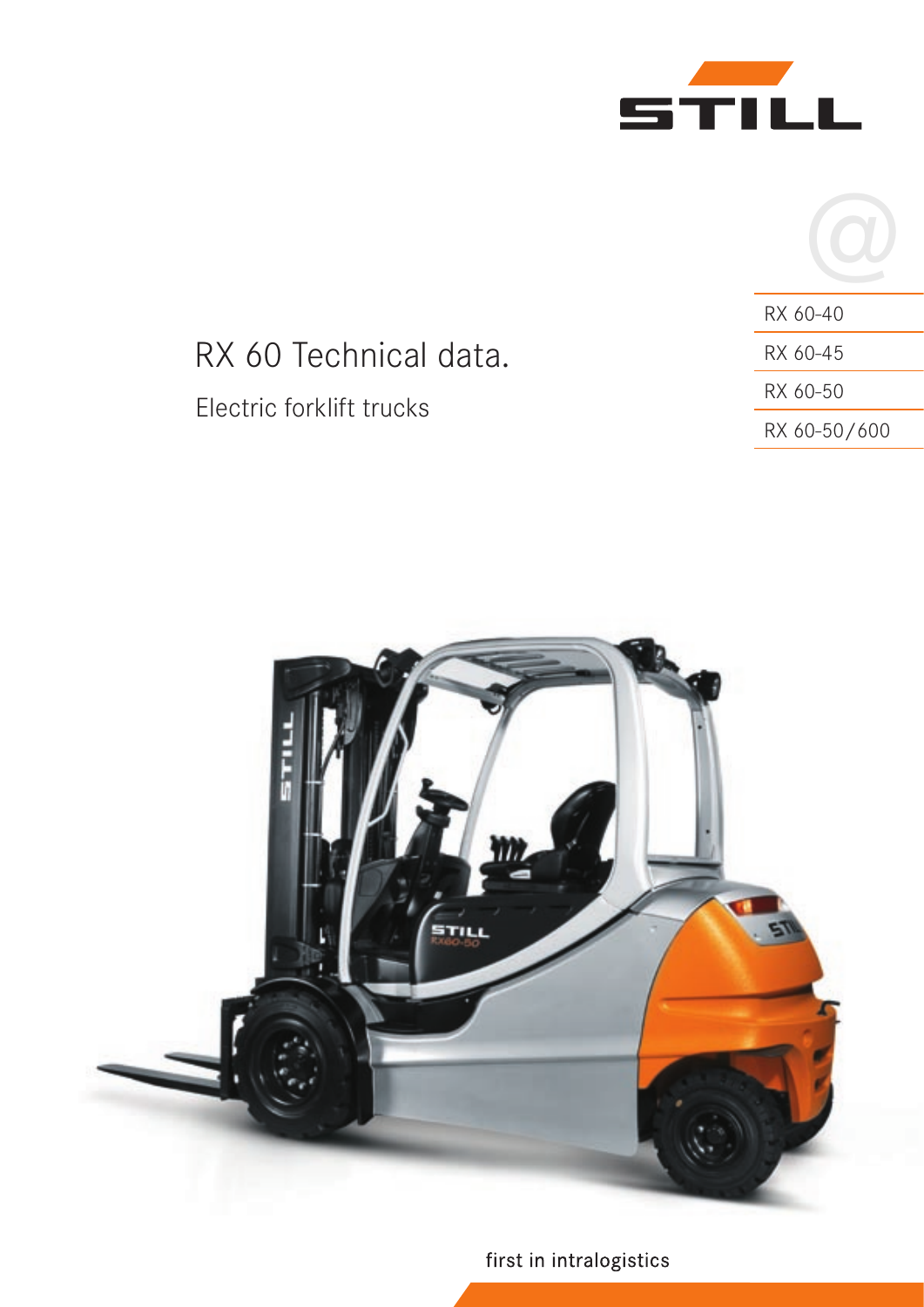



# RX 60 Technical data. Electric forklift trucks

| RX 60-40     |
|--------------|
| RX 60-45     |
| RX 60-50     |
| RX 60-50/600 |



first in intralogistics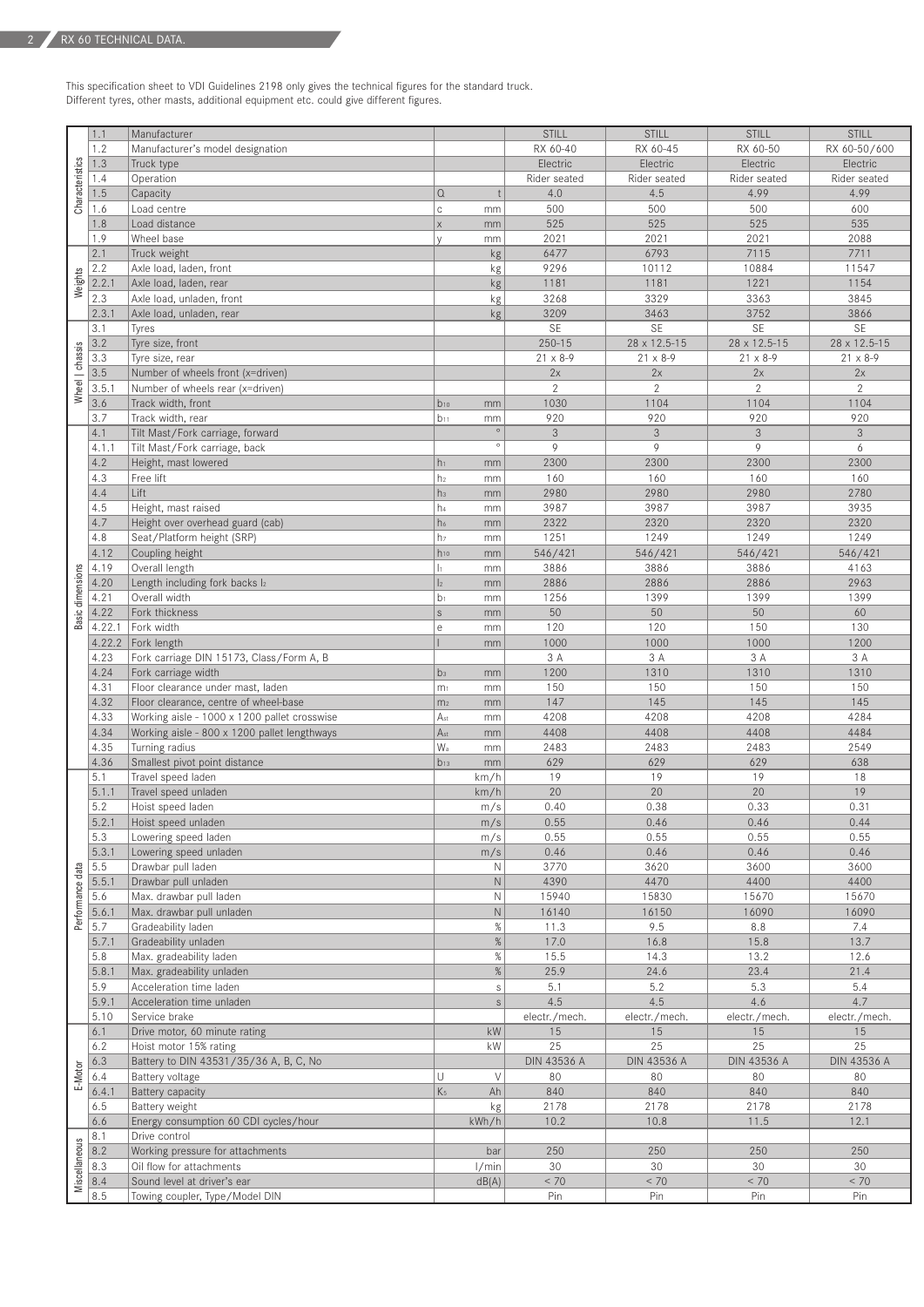This specification sheet to VDI Guidelines 2198 only gives the technical figures for the standard truck. Different tyres, other masts, additional equipment etc. could give different figures.

|                  | 1.1           | Manufacturer                                                   |                           |             | <b>STILL</b>                    | <b>STILL</b>             | <b>STILL</b>             | <b>STILL</b>             |
|------------------|---------------|----------------------------------------------------------------|---------------------------|-------------|---------------------------------|--------------------------|--------------------------|--------------------------|
|                  | 1.2           | Manufacturer's model designation                               |                           |             | RX 60-40                        | RX 60-45                 | RX 60-50                 | RX 60-50/600             |
| Characteristics  | 1.3           | Truck type                                                     |                           |             | Electric                        | Electric                 | Electric                 | Electric                 |
|                  | 1.4           | Operation                                                      |                           |             | Rider seated                    | Rider seated             | Rider seated             | Rider seated             |
|                  | 1.5           | Capacity                                                       | $\Omega$                  |             | 4.0                             | 4.5                      | 4.99                     | 4.99                     |
|                  | 1.6           | Load centre                                                    | $\mathbb{C}$              | mm          | 500                             | 500                      | 500                      | 600                      |
|                  | 1.8           | Load distance                                                  | $\times$                  | mm          | 525                             | 525                      | 525                      | 535                      |
|                  | 1.9           | Wheel base                                                     | $\vee$                    | mm          | 2021                            | 2021                     | 2021                     | 2088                     |
|                  | 2.1           | Truck weight                                                   |                           | kg          | 6477                            | 6793                     | 7115                     | 7711                     |
|                  | 2.2           | Axle load, laden, front                                        |                           | kg          | 9296                            | 10112                    | 10884                    | 11547                    |
| Weights          | 2.2.1         | Axle load, laden, rear                                         |                           | kg          | 1181                            | 1181                     | 1221                     | 1154                     |
|                  | 2.3           | Axle load, unladen, front                                      |                           | kg          | 3268                            | 3329                     | 3363                     | 3845                     |
|                  | 2.3.1         | Axle load, unladen, rear                                       |                           | kg          | 3209<br>SE                      | 3463<br>SE               | 3752<br><b>SE</b>        | 3866<br><b>SE</b>        |
|                  | 3.1<br>3.2    | Tyres                                                          |                           |             |                                 |                          |                          |                          |
|                  | 3.3           | Tyre size, front<br>Tyre size, rear                            |                           |             | $250 - 15$<br>$21 \times 8 - 9$ | 28 x 12.5-15<br>21 x 8-9 | 28 x 12.5-15<br>21 x 8-9 | 28 x 12.5-15<br>21 x 8-9 |
|                  | 3.5           | Number of wheels front (x=driven)                              |                           |             | 2x                              | 2x                       | 2x                       | 2x                       |
| Wheel   chassis  | 3.5.1         | Number of wheels rear (x=driven)                               |                           |             | $\mathbf{2}$                    | $\mathbf{2}$             | $\mathbf{2}$             | $\mathbf{2}$             |
|                  | 3.6           | Track width, front                                             | $b_{10}$                  | mm          | 1030                            | 1104                     | 1104                     | 1104                     |
|                  | 3.7           | Track width, rear                                              | $b_{11}$                  | mm          | 920                             | 920                      | 920                      | 920                      |
|                  | 4.1           | Tilt Mast/Fork carriage, forward                               |                           | $\circ$     | 3                               | $\mathfrak{Z}$           | $\mathfrak{Z}$           | $\mathfrak{Z}$           |
|                  | 4.1.1         | Tilt Mast/Fork carriage, back                                  |                           | $\circ$     | 9                               | 9                        | 9                        | 6                        |
|                  | 4.2           | Height, mast lowered                                           | $h_1$                     | mm          | 2300                            | 2300                     | 2300                     | 2300                     |
|                  | 4.3           | Free lift                                                      | h <sub>2</sub>            | mm          | 160                             | 160                      | 160                      | 160                      |
|                  | 4.4           | Lift                                                           | h <sub>3</sub>            | mm          | 2980                            | 2980                     | 2980                     | 2780                     |
|                  | 4.5           | Height, mast raised                                            | h <sub>4</sub>            | mm          | 3987                            | 3987                     | 3987                     | 3935                     |
|                  | 4.7           | Height over overhead guard (cab)                               | h <sub>6</sub>            | mm          | 2322                            | 2320                     | 2320                     | 2320                     |
|                  | 4.8           | Seat/Platform height (SRP)                                     | h <sub>7</sub>            | mm          | 1251                            | 1249                     | 1249                     | 1249                     |
|                  | 4.12          | Coupling height                                                | $h_{10}$                  | mm          | 546/421                         | 546/421                  | 546/421                  | 546/421                  |
|                  | 4.19          | Overall length                                                 | $\vert$ 1                 | mm          | 3886                            | 3886                     | 3886                     | 4163                     |
|                  | 4.20          | Length including fork backs I2                                 | $\vert$ <sub>2</sub>      | mm          | 2886                            | 2886                     | 2886                     | 2963                     |
| Basic dimensions | 4.21          | Overall width                                                  | b <sub>1</sub>            | mm          | 1256                            | 1399                     | 1399                     | 1399                     |
|                  | 4.22          | Fork thickness                                                 | S                         | mm          | 50                              | 50                       | 50                       | 60                       |
|                  | 4.22.1        | Fork width                                                     | $\mathop{\rm e}\nolimits$ | mm          | 120                             | 120                      | 150                      | 130                      |
|                  | 4.22.2        | Fork length                                                    |                           | mm          | 1000                            | 1000                     | 1000                     | 1200                     |
|                  | 4.23          | Fork carriage DIN 15173, Class/Form A, B                       |                           |             | 3 A                             | 3 A                      | 3 A                      | 3 A                      |
|                  | 4.24          | Fork carriage width                                            | b <sub>3</sub>            | mm          | 1200                            | 1310                     | 1310                     | 1310                     |
|                  | 4.31          | Floor clearance under mast, laden                              | m <sub>1</sub>            | mm          | 150                             | 150                      | 150                      | 150                      |
|                  | 4.32          | Floor clearance, centre of wheel-base                          | m <sub>2</sub>            | mm          | 147                             | 145                      | 145                      | 145                      |
|                  | 4.33<br>4.34  | Working aisle - 1000 x 1200 pallet crosswise                   | Ast<br>A <sub>st</sub>    | mm          | 4208<br>4408                    | 4208<br>4408             | 4208<br>4408             | 4284<br>4484             |
|                  | 4.35          | Working aisle - 800 x 1200 pallet lengthways<br>Turning radius | W <sub>a</sub>            | mm<br>mm    | 2483                            | 2483                     | 2483                     | 2549                     |
|                  | 4.36          | Smallest pivot point distance                                  | $b_{13}$                  | mm          | 629                             | 629                      | 629                      | 638                      |
|                  | 5.1           | Travel speed laden                                             |                           | km/h        | 19                              | 19                       | 19                       | 18                       |
|                  | 5.1.1         | Travel speed unladen                                           |                           | km/h        | 20                              | 20                       | 20                       | 19                       |
|                  | 5.2           | Hoist speed laden                                              |                           | m/s         | 0.40                            | 0.38                     | 0.33                     | 0.31                     |
|                  | 5.2.1         | Hoist speed unladen                                            |                           | m/s         | 0.55                            | 0.46                     | 0.46                     | 0.44                     |
|                  | 5.3           | Lowering speed laden                                           |                           | m/s         | 0.55                            | 0.55                     | 0.55                     | 0.55                     |
|                  | 5.3.1         | Lowering speed unladen                                         |                           | m/s         | 0.46                            | 0.46                     | 0.46                     | 0.46                     |
|                  | 5.5           | Drawbar pull laden                                             |                           | N           | 3770                            | 3620                     | 3600                     | 3600                     |
| Performance data | 5.5.1         | Drawbar pull unladen                                           |                           | $\mathsf N$ | 4390                            | 4470                     | 4400                     | 4400                     |
|                  | 5.6           | Max. drawbar pull laden                                        |                           | N           | 15940                           | 15830                    | 15670                    | 15670                    |
|                  | 5.6.1         | Max. drawbar pull unladen                                      |                           | $\mathsf N$ | 16140                           | 16150                    | 16090                    | 16090                    |
|                  | 5.7           | Gradeability laden                                             |                           | $\%$        | 11.3                            | 9.5                      | 8.8                      | 7.4                      |
|                  | 5.7.1         | Gradeability unladen                                           |                           | $\%$        | 17.0                            | 16.8                     | 15.8                     | 13.7                     |
|                  | 5.8           | Max. gradeability laden                                        |                           | $\%$        | 15.5                            | 14.3                     | 13.2                     | 12.6                     |
|                  | 5.8.1         | Max. gradeability unladen                                      |                           | $\%$        | 25.9                            | 24.6                     | 23.4                     | 21.4                     |
|                  | 5.9           | Acceleration time laden                                        |                           | $\mathbb S$ | 5.1<br>4.5                      | 5.2                      | 5.3<br>4.6               | 5.4<br>4.7               |
|                  | 5.9.1<br>5.10 | Acceleration time unladen<br>Service brake                     |                           | $\mathbb S$ |                                 | 4.5                      | electr./mech.            |                          |
|                  | 6.1           | Drive motor, 60 minute rating                                  |                           | kW          | electr./mech.<br>15             | electr./mech.<br>15      | 15                       | electr./mech.<br>15      |
|                  | 6.2           | Hoist motor 15% rating                                         |                           | kW          | 25                              | 25                       | 25                       | 25                       |
|                  | 6.3           | Battery to DIN 43531/35/36 A, B, C, No                         |                           |             | <b>DIN 43536 A</b>              | DIN 43536 A              | DIN 43536 A              | DIN 43536 A              |
| <b>E-Motor</b>   | 6.4           | Battery voltage                                                | U                         | $\vee$      | 80                              | 80                       | 80                       | 80                       |
|                  | 6.4.1         | Battery capacity                                               | K <sub>5</sub>            | Ah          | 840                             | 840                      | 840                      | 840                      |
|                  | 6.5           | Battery weight                                                 |                           | kg          | 2178                            | 2178                     | 2178                     | 2178                     |
|                  | 6.6           | Energy consumption 60 CDI cycles/hour                          |                           | kWh/h       | 10.2                            | 10.8                     | 11.5                     | 12.1                     |
|                  | 8.1           | Drive control                                                  |                           |             |                                 |                          |                          |                          |
| Miscellaneous    | 8.2           | Working pressure for attachments                               |                           | bar         | 250                             | 250                      | 250                      | 250                      |
|                  | 8.3           | Oil flow for attachments                                       |                           | 1/min       | 30                              | 30                       | 30                       | 30                       |
|                  | 8.4           | Sound level at driver's ear                                    |                           | dB(A)       | < 70                            | < 70                     | $< 70$                   | < 70                     |
|                  | 8.5           | Towing coupler, Type/Model DIN                                 |                           |             | Pin                             | Pin                      | Pin                      | Pin                      |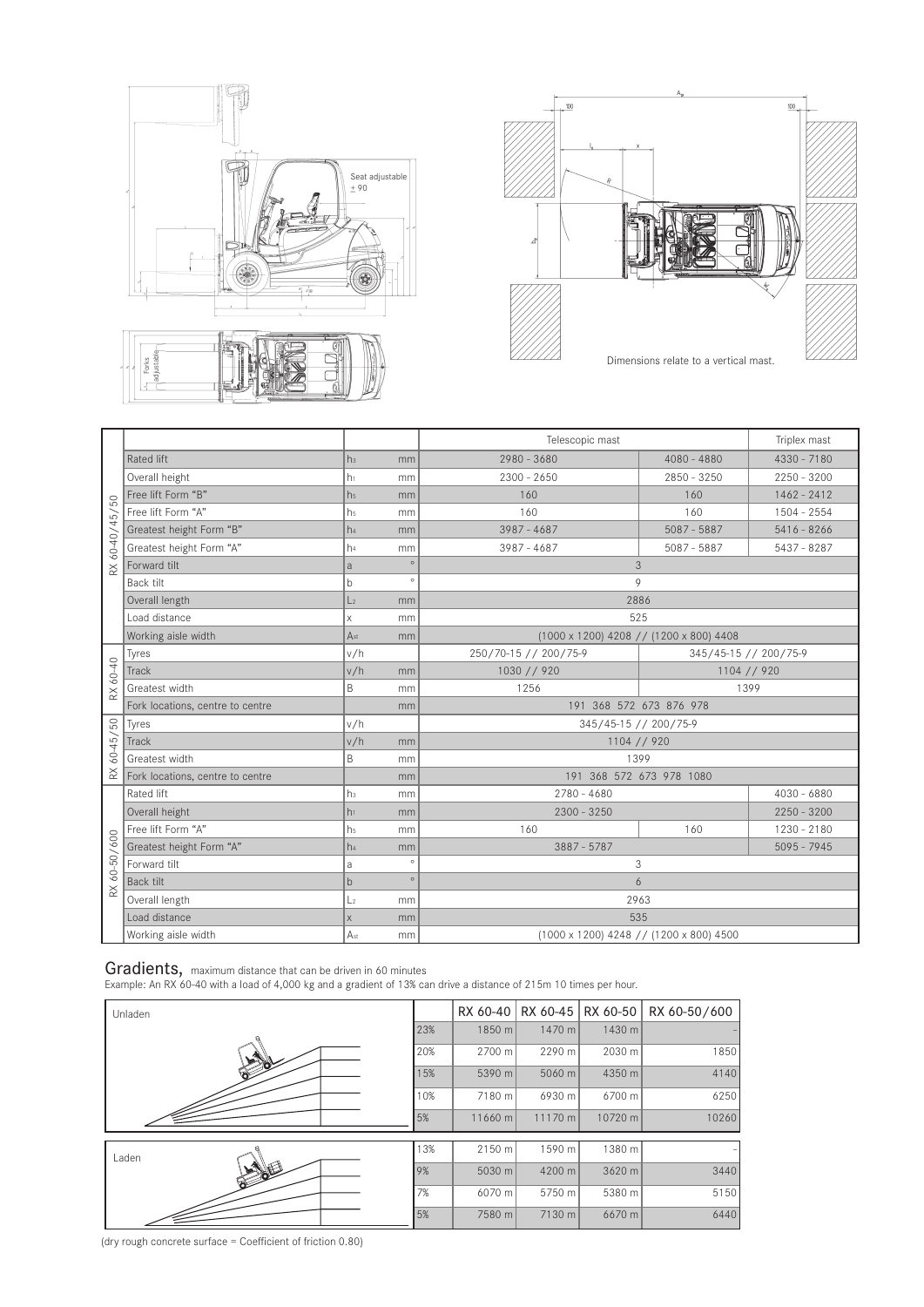



| /50<br>$60 - 40 / 45$<br>$\stackrel{\times}{\approx}$ |                                  |                 |         | Telescopic mast                         | Triplex mast          |               |  |  |
|-------------------------------------------------------|----------------------------------|-----------------|---------|-----------------------------------------|-----------------------|---------------|--|--|
|                                                       | Rated lift                       | h <sub>3</sub>  | mm      | 2980 - 3680                             | $4080 - 4880$         | $4330 - 7180$ |  |  |
|                                                       | Overall height                   | h <sub>1</sub>  | mm      | $2300 - 2650$                           | $2850 - 3250$         | $2250 - 3200$ |  |  |
|                                                       | Free lift Form "B"               | h <sub>5</sub>  | mm      | 160                                     | 160                   | $1462 - 2412$ |  |  |
|                                                       | Free lift Form "A"               | h <sub>5</sub>  | mm      | 160                                     | 160                   | 1504 - 2554   |  |  |
|                                                       | Greatest height Form "B"         | h <sub>4</sub>  | mm      | 3987 - 4687                             | $5087 - 5887$         | $5416 - 8266$ |  |  |
|                                                       | Greatest height Form "A"         | h <sub>4</sub>  | mm      | $3987 - 4687$                           | $5087 - 5887$         | 5437 - 8287   |  |  |
|                                                       | Forward tilt                     | a               | $\circ$ | 3                                       |                       |               |  |  |
|                                                       | Back tilt                        | b               | $\circ$ | 9                                       |                       |               |  |  |
|                                                       | Overall length                   | L <sub>2</sub>  | mm      | 2886                                    |                       |               |  |  |
|                                                       | Load distance                    | $\mathsf X$     | mm      | 525                                     |                       |               |  |  |
|                                                       | Working aisle width              | A <sub>st</sub> | mm      | (1000 x 1200) 4208 // (1200 x 800) 4408 |                       |               |  |  |
|                                                       | Tyres                            | v/h             |         | 250/70-15 // 200/75-9                   | 345/45-15 // 200/75-9 |               |  |  |
| 60-40                                                 | Track                            | v/h             | mm      | 1030 // 920                             |                       | 1104 // 920   |  |  |
| $\approx$                                             | Greatest width                   | B               | mm      | 1256                                    | 1399                  |               |  |  |
|                                                       | Fork locations, centre to centre |                 | mm      | 191 368 572 673 876 978                 |                       |               |  |  |
|                                                       | Tyres                            | v/h             |         | 345/45-15 // 200/75-9                   |                       |               |  |  |
| $60 - 45 / 50$                                        | Track                            | v/h             | mm      | 1104 // 920                             |                       |               |  |  |
|                                                       | Greatest width                   | B               | mm      | 1399                                    |                       |               |  |  |
| $\stackrel{\textstyle\times}{\textstyle\sim}$         | Fork locations, centre to centre |                 | mm      | 191 368 572 673 978 1080                |                       |               |  |  |
|                                                       | Rated lift                       | h <sub>3</sub>  | mm      | $2780 - 4680$                           |                       |               |  |  |
|                                                       | Overall height                   | h <sub>1</sub>  | mm      | $2300 - 3250$                           |                       | $2250 - 3200$ |  |  |
|                                                       | Free lift Form "A"               | h <sub>5</sub>  | mm      | 160                                     | 160                   | 1230 - 2180   |  |  |
| 600<br>$60 - 50 / 6$<br>$\approx$                     | Greatest height Form "A"         | h <sub>4</sub>  | mm      | 3887 - 5787                             |                       | $5095 - 7945$ |  |  |
|                                                       | Forward tilt                     | a               | $\circ$ | 3                                       |                       |               |  |  |
|                                                       | Back tilt                        | $\mathsf{b}$    | $\circ$ |                                         | 6                     |               |  |  |
|                                                       | Overall length                   | L <sub>2</sub>  | mm      | 2963                                    |                       |               |  |  |
|                                                       | Load distance                    | X               | mm      | 535                                     |                       |               |  |  |
|                                                       | Working aisle width              | A <sub>st</sub> | mm      | (1000 x 1200) 4248 // (1200 x 800) 4500 |                       |               |  |  |

Gradients, maximum distance that can be driven in 60 minutes

Example: An RX 60-40 with a load of 4,000 kg and a gradient of 13% can drive a distance of 215m 10 times per hour.

| Unladen |     | RX 60-40 |         | RX 60-45   RX 60-50 | RX 60-50/600 |
|---------|-----|----------|---------|---------------------|--------------|
|         | 23% | 1850 m   | 1470 m  | 1430 m              |              |
|         | 20% | 2700 m   | 2290 m  | 2030 m              | 1850         |
| œ       | 15% | 5390 m   | 5060 m  | 4350 m              | 4140         |
|         | 10% | 7180 m   | 6930 m  | 6700 m              | 6250         |
|         | 5%  | 11660 m  | 11170 m | 10720 m             | 10260        |
| Laden   | 13% | 2150 m   | 1590 m  | 1380 m              |              |
| ଚ       | 9%  | 5030 m   | 4200 m  | 3620 m              | 3440         |
|         | 7%  | 6070 m   | 5750 m  | 5380 m              | 5150         |
|         | 5%  | 7580 m   | 7130 m  | 6670 m              | 6440         |

(dry rough concrete surface = Coefficient of friction 0.80)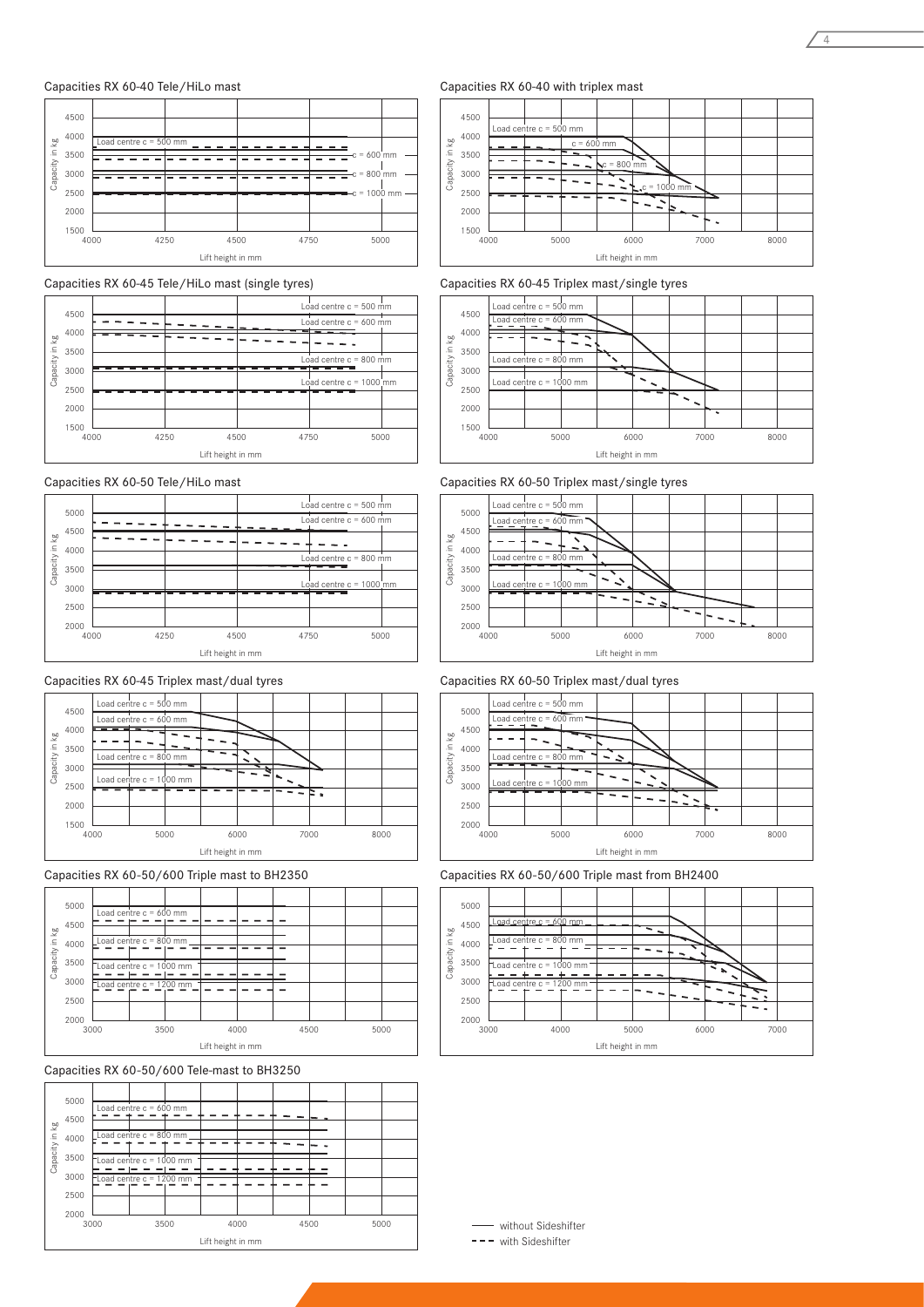#### Capacities RX 60-40 Tele/HiLo mast



Capacities RX 60-45 Tele/HiLo mast (single tyres)



## Capacities RX 60-50 Tele/HiLo mast



### Capacities RX 60-45 Triplex mast/dual tyres



#### Capacities RX 60-50/600 Triple mast to BH2350







#### Capacities RX 60-40 with triplex mast



# Capacities RX 60-45 Triplex mast/single tyres



Capacities RX 60-50 Triplex mast/single tyres







#### Capacities RX 60-50/600 Triple mast from BH2400



- without Sideshifter

 $---$  with Sideshifter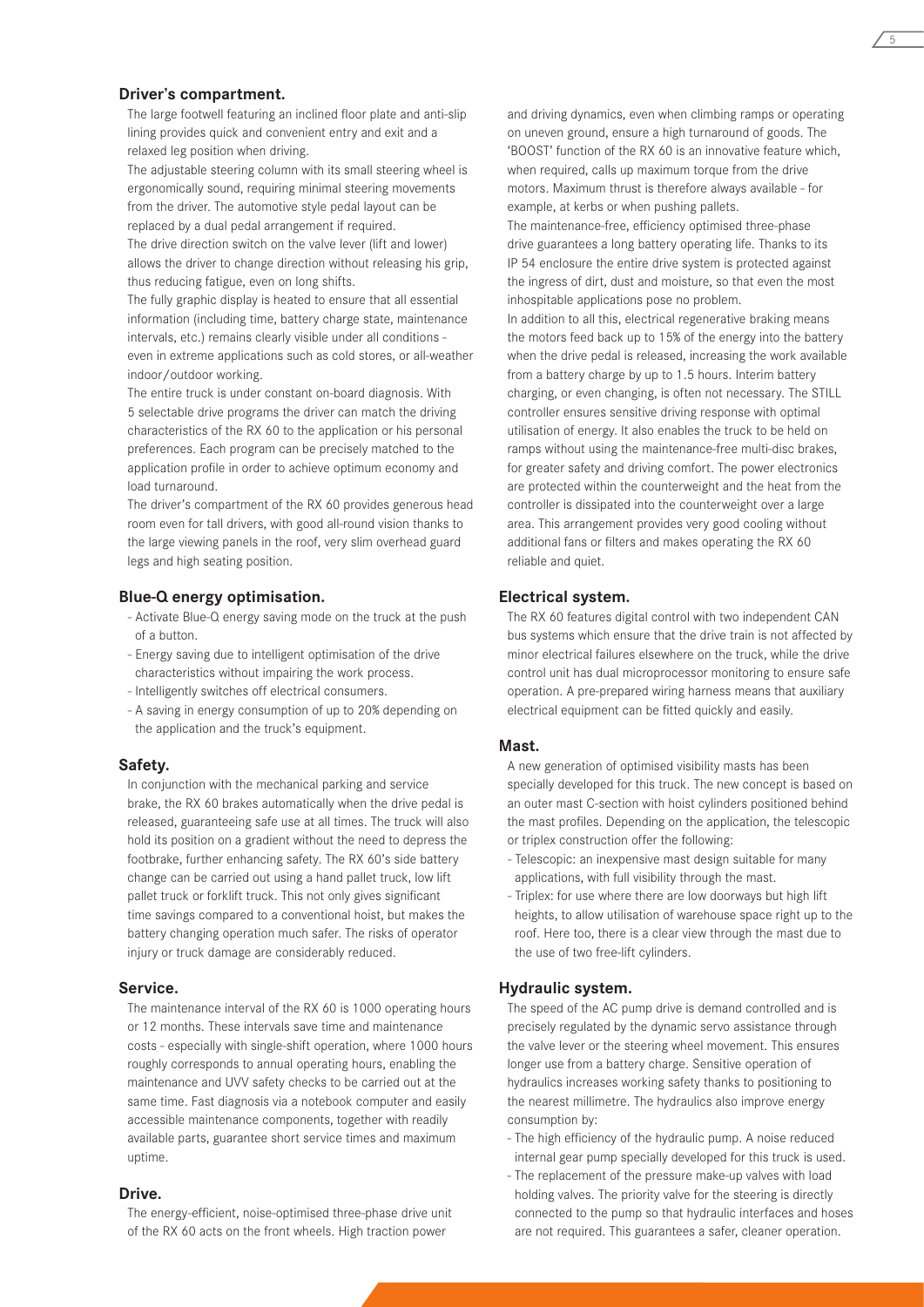#### **Driver's compartment.**

The large footwell featuring an inclined floor plate and anti-slip lining provides quick and convenient entry and exit and a relaxed leg position when driving.

The adjustable steering column with its small steering wheel is ergonomically sound, requiring minimal steering movements from the driver. The automotive style pedal layout can be replaced by a dual pedal arrangement if required.

The drive direction switch on the valve lever (lift and lower) allows the driver to change direction without releasing his grip, thus reducing fatigue, even on long shifts.

The fully graphic display is heated to ensure that all essential information (including time, battery charge state, maintenance intervals, etc.) remains clearly visible under all conditions even in extreme applications such as cold stores, or all-weather indoor/outdoor working.

The entire truck is under constant on-board diagnosis. With 5 selectable drive programs the driver can match the driving characteristics of the RX 60 to the application or his personal preferences. Each program can be precisely matched to the application profile in order to achieve optimum economy and load turnaround.

The driver's compartment of the RX 60 provides generous head room even for tall drivers, with good all-round vision thanks to the large viewing panels in the roof, very slim overhead guard legs and high seating position.

#### **Blue-Q energy optimisation.**

- Activate Blue-Q energy saving mode on the truck at the push of a button.
- Energy saving due to intelligent optimisation of the drive characteristics without impairing the work process.
- Intelligently switches off electrical consumers.
- A saving in energy consumption of up to 20% depending on the application and the truck's equipment.

#### **Safety.**

In conjunction with the mechanical parking and service brake, the RX 60 brakes automatically when the drive pedal is released, guaranteeing safe use at all times. The truck will also hold its position on a gradient without the need to depress the footbrake, further enhancing safety. The RX 60's side battery change can be carried out using a hand pallet truck, low lift pallet truck or forklift truck. This not only gives significant time savings compared to a conventional hoist, but makes the battery changing operation much safer. The risks of operator injury or truck damage are considerably reduced.

#### **Service.**

The maintenance interval of the RX 60 is 1000 operating hours or 12 months. These intervals save time and maintenance costs - especially with single-shift operation, where 1000 hours roughly corresponds to annual operating hours, enabling the maintenance and UVV safety checks to be carried out at the same time. Fast diagnosis via a notebook computer and easily accessible maintenance components, together with readily available parts, guarantee short service times and maximum uptime.

#### **Drive.**

The energy-efficient, noise-optimised three-phase drive unit of the RX 60 acts on the front wheels. High traction power

and driving dynamics, even when climbing ramps or operating on uneven ground, ensure a high turnaround of goods. The 'BOOST' function of the RX 60 is an innovative feature which, when required, calls up maximum torque from the drive motors. Maximum thrust is therefore always available - for example, at kerbs or when pushing pallets.

The maintenance-free, efficiency optimised three-phase drive guarantees a long battery operating life. Thanks to its IP 54 enclosure the entire drive system is protected against the ingress of dirt, dust and moisture, so that even the most inhospitable applications pose no problem.

In addition to all this, electrical regenerative braking means the motors feed back up to 15% of the energy into the battery when the drive pedal is released, increasing the work available from a battery charge by up to 1.5 hours. Interim battery charging, or even changing, is often not necessary. The STILL controller ensures sensitive driving response with optimal utilisation of energy. It also enables the truck to be held on ramps without using the maintenance-free multi-disc brakes, for greater safety and driving comfort. The power electronics are protected within the counterweight and the heat from the controller is dissipated into the counterweight over a large area. This arrangement provides very good cooling without additional fans or filters and makes operating the RX 60 reliable and quiet.

#### **Electrical system.**

The RX 60 features digital control with two independent CAN bus systems which ensure that the drive train is not affected by minor electrical failures elsewhere on the truck, while the drive control unit has dual microprocessor monitoring to ensure safe operation. A pre-prepared wiring harness means that auxiliary electrical equipment can be fitted quickly and easily.

#### **Mast.**

A new generation of optimised visibility masts has been specially developed for this truck. The new concept is based on an outer mast C-section with hoist cylinders positioned behind the mast profiles. Depending on the application, the telescopic or triplex construction offer the following:

- Telescopic: an inexpensive mast design suitable for many applications, with full visibility through the mast.
- Triplex: for use where there are low doorways but high lift heights, to allow utilisation of warehouse space right up to the roof. Here too, there is a clear view through the mast due to the use of two free-lift cylinders.

#### **Hydraulic system.**

The speed of the AC pump drive is demand controlled and is precisely regulated by the dynamic servo assistance through the valve lever or the steering wheel movement. This ensures longer use from a battery charge. Sensitive operation of hydraulics increases working safety thanks to positioning to the nearest millimetre. The hydraulics also improve energy consumption by:

- The high efficiency of the hydraulic pump. A noise reduced internal gear pump specially developed for this truck is used.
- The replacement of the pressure make-up valves with load holding valves. The priority valve for the steering is directly connected to the pump so that hydraulic interfaces and hoses are not required. This guarantees a safer, cleaner operation.